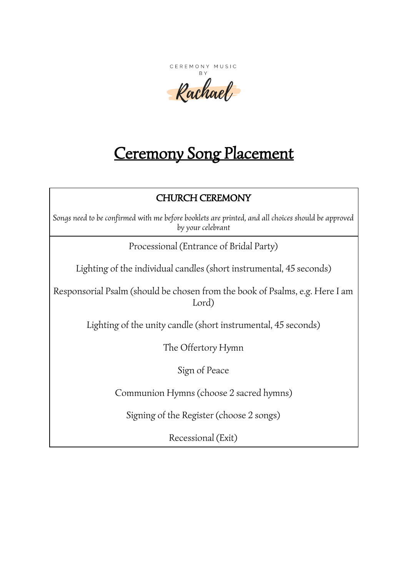CEREMONY MUSIC BY.

Rachael

# Ceremony Song Placement

# CHURCH CEREMONY

*Songs need to be confirmed with me before booklets are printed, and all choices should be approved by your celebrant*

Processional (Entrance of Bridal Party)

Lighting of the individual candles (short instrumental, 45 seconds)

Responsorial Psalm (should be chosen from the book of Psalms, e.g. Here I am Lord)

Lighting of the unity candle (short instrumental, 45 seconds)

The Offertory Hymn

Sign of Peace

Communion Hymns (choose 2 sacred hymns)

Signing of the Register (choose 2 songs)

Recessional (Exit)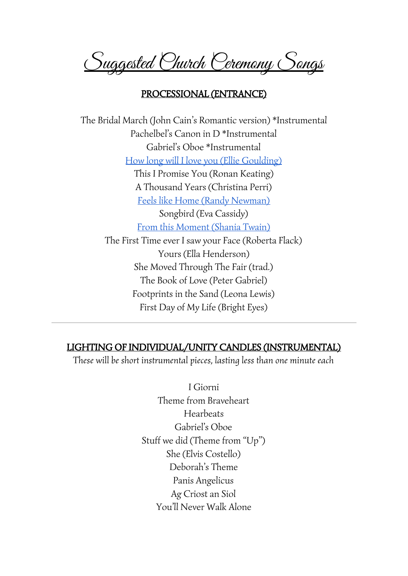Suggested Church Ceremony Songs

# PROCESSIONAL (ENTRANCE)

The Bridal March (John Cain's Romantic version) \*Instrumental Pachelbel's Canon in D \*Instrumental Gabriel's Oboe \*Instrumental How long will I love you (Ellie [Goulding\)](https://www.facebook.com/thebratzband/videos/749869948548000/) This I Promise You (Ronan Keating) A Thousand Years (Christina Perri) Feels like Home (Randy [Newman\)](https://youtu.be/rH_CXtOpqZI) Songbird (Eva Cassidy) From this [Moment](https://www.facebook.com/thebratzband/videos/749962045205457/) (Shania Twain) The First Time ever I saw your Face (Roberta Flack) Yours (Ella Henderson) She Moved Through The Fair (trad.) The Book of Love (Peter Gabriel) Footprints in the Sand (Leona Lewis) First Day of My Life (Bright Eyes)

## LIGHTING OF INDIVIDUAL/UNITY CANDLES (INSTRUMENTAL)

*These will be short instrumental pieces, lasting less than one minute each*

I Giorni Theme from Braveheart Hearbeats Gabriel's Oboe Stuff we did (Theme from "Up") She (Elvis Costello) Deborah's Theme Panis Angelicus Ag Criost an Siol You'll Never Walk Alone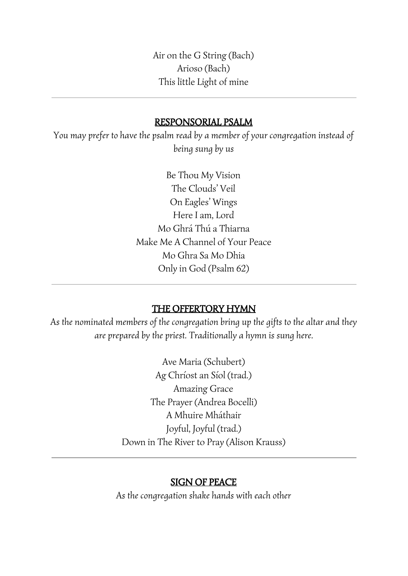Air on the G String (Bach) Arioso (Bach) This little Light of mine

# RESPONSORIAL PSALM

*You may prefer to have the psalm read by a member of your congregation instead of being sung by us*

> Be Thou My Vision The Clouds' Veil On Eagles' Wings Here I am, Lord Mo Ghrá Thú a Thiarna Make Me A Channel of Your Peace Mo Ghra Sa Mo Dhia Only in God (Psalm 62)

# THE OFFERTORY HYMN

*As the nominated members of the congregation bring up the gifts to the altar and they are prepared by the priest. Traditionally a hymn is sung here.*

> Ave Maria (Schubert) Ag Chríost an Síol (trad.) Amazing Grace The Prayer (Andrea Bocelli) A Mhuire Mháthair Joyful, Joyful (trad.) Down in The River to Pray (Alison Krauss)

#### SIGN OF PEACE

*As the congregation shake hands with each other*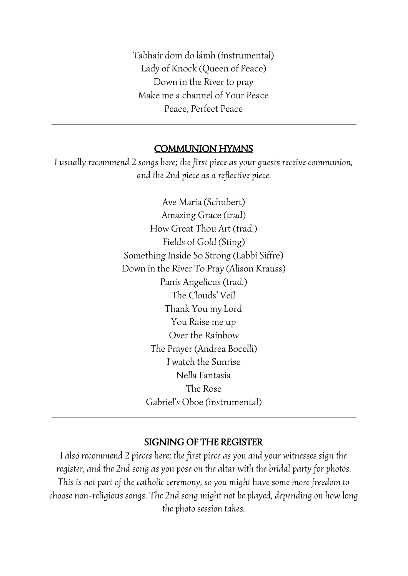Tabhair dom do lámh (instrumental) Lady of Knock (Queen of Peace) Down in the River to pray Make me a channel of Your Peace Peace, Perfect Peace

# COMMUNION HYMNS

*I usually recommend 2 songs here; the first piece as your guests receive communion, and the 2nd piece as a reflective piece.*

> Ave Maria (Schubert) Amazing Grace (trad) How Great Thou Art (trad.) Fields of Gold (Sting) Something Inside So Strong (Labbi Siffre) Down in the River To Pray (Alison Krauss) Panis Angelicus (trad.) The Clouds' Veil Thank You my Lord You Raise me up Over the Rainbow The Prayer (Andrea Bocelli) I watch the Sunrise Nella Fantasia The Rose Gabriel's Oboe (instrumental)

## SIGNING OF THE REGISTER

*I also recommend 2 pieces here; the first piece as you and your witnesses sign the register, and the 2nd song as you pose on the altar with the bridal party for photos. This is not part of the catholic ceremony, so you might have some more freedom to choose non-religious songs. The 2nd song might not be played, depending on how long the photo session takes.*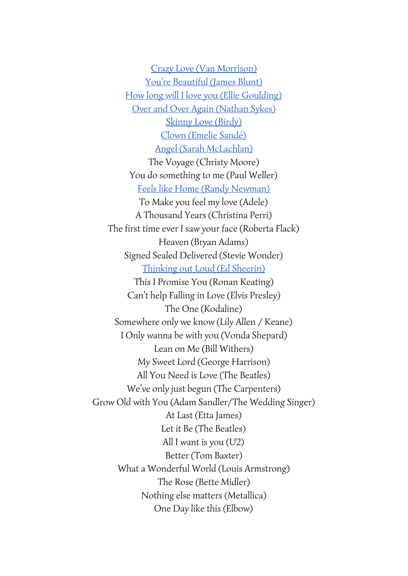Crazy Love (Van [Morrison\)](https://www.facebook.com/thebratzband/videos/749962728538722/) You're [Beautiful](https://www.facebook.com/thebratzband/videos/754666371401691/) (James Blunt) How long will I love you (Ellie [Goulding\)](https://www.facebook.com/thebratzband/videos/749869948548000/) Over and Over Again [\(Nathan](https://www.facebook.com/thebratzband/videos/673990502802612/) Sykes) Skinny Love [\(Birdy\)](https://youtu.be/qfTzSTChn-s) Clown [\(Emelie](https://youtu.be/CqMVjiDfr3E) Sandé) Angel (Sarah [McLachlan\)](https://youtu.be/FjXz8XNtZFc) The Voyage (Christy Moore) You do something to me (Paul Weller) Feels like Home (Randy [Newman\)](https://youtu.be/rH_CXtOpqZI) To Make you feel my love (Adele) A Thousand Years (Christina Perri) The first time ever I saw your face (Roberta Flack) Heaven (Bryan Adams) Signed Sealed Delivered (Stevie Wonder) [Thinking](https://youtu.be/NSeVRfr4QJw?t=1m48s) out Loud (Ed Sheerin) This I Promise You (Ronan Keating) Can't help Falling in Love (Elvis Presley) The One (Kodaline) Somewhere only we know (Lily Allen / Keane) I Only wanna be with you (Vonda Shepard) Lean on Me (Bill Withers) My Sweet Lord (George Harrison) All You Need is Love (The Beatles) We've only just begun (The Carpenters) Grow Old with You (Adam Sandler/The Wedding Singer) At Last (Etta James) Let it Be (The Beatles) All I want is you (U2) Better (Tom Baxter) What a Wonderful World (Louis Armstrong) The Rose (Bette Midler) Nothing else matters (Metallica) One Day like this (Elbow)